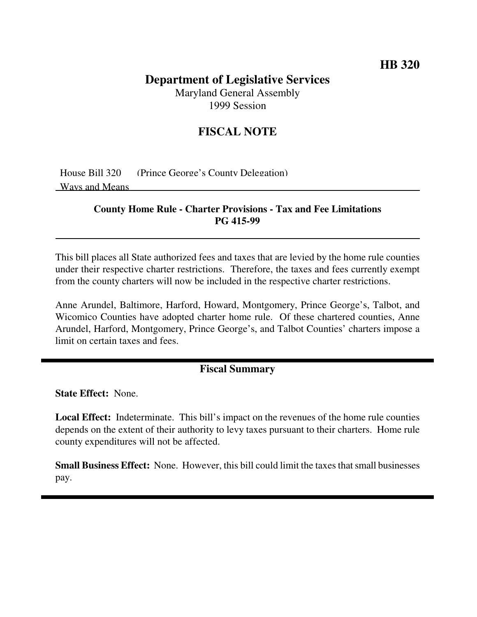## **HB 320**

# **Department of Legislative Services**

Maryland General Assembly 1999 Session

## **FISCAL NOTE**

House Bill 320 (Prince George's County Delegation) Ways and Means

#### **County Home Rule - Charter Provisions - Tax and Fee Limitations PG 415-99**

This bill places all State authorized fees and taxes that are levied by the home rule counties under their respective charter restrictions. Therefore, the taxes and fees currently exempt from the county charters will now be included in the respective charter restrictions.

Anne Arundel, Baltimore, Harford, Howard, Montgomery, Prince George's, Talbot, and Wicomico Counties have adopted charter home rule. Of these chartered counties, Anne Arundel, Harford, Montgomery, Prince George's, and Talbot Counties' charters impose a limit on certain taxes and fees.

#### **Fiscal Summary**

**State Effect:** None.

**Local Effect:** Indeterminate. This bill's impact on the revenues of the home rule counties depends on the extent of their authority to levy taxes pursuant to their charters. Home rule county expenditures will not be affected.

**Small Business Effect:** None. However, this bill could limit the taxes that small businesses pay.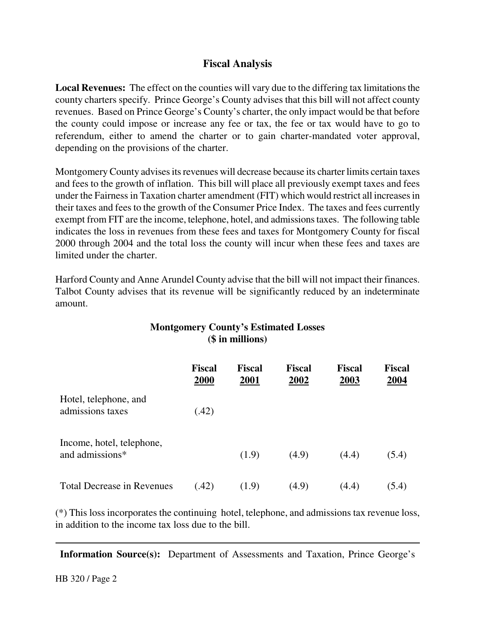## **Fiscal Analysis**

**Local Revenues:** The effect on the counties will vary due to the differing tax limitations the county charters specify. Prince George's County advises that this bill will not affect county revenues. Based on Prince George's County's charter, the only impact would be that before the county could impose or increase any fee or tax, the fee or tax would have to go to referendum, either to amend the charter or to gain charter-mandated voter approval, depending on the provisions of the charter.

Montgomery County advises its revenues will decrease because its charter limits certain taxes and fees to the growth of inflation. This bill will place all previously exempt taxes and fees under the Fairness in Taxation charter amendment (FIT) which would restrict all increasesin their taxes and fees to the growth of the Consumer Price Index. The taxes and fees currently exempt from FIT are the income, telephone, hotel, and admissions taxes. The following table indicates the loss in revenues from these fees and taxes for Montgomery County for fiscal 2000 through 2004 and the total loss the county will incur when these fees and taxes are limited under the charter.

Harford County and Anne Arundel County advise that the bill will not impact their finances. Talbot County advises that its revenue will be significantly reduced by an indeterminate amount.

### **Montgomery County's Estimated Losses (\$ in millions)**

|                                              | <b>Fiscal</b><br>2000 | <b>Fiscal</b><br>2001 | <b>Fiscal</b><br>2002 | <b>Fiscal</b><br>2003 | <b>Fiscal</b><br>2004 |
|----------------------------------------------|-----------------------|-----------------------|-----------------------|-----------------------|-----------------------|
| Hotel, telephone, and<br>admissions taxes    | (.42)                 |                       |                       |                       |                       |
| Income, hotel, telephone,<br>and admissions* |                       | (1.9)                 | (4.9)                 | (4.4)                 | (5.4)                 |
| <b>Total Decrease in Revenues</b>            | (.42)                 | (1.9)                 | (4.9)                 | (4.4)                 | (5.4)                 |

(\*) This loss incorporates the continuing hotel, telephone, and admissions tax revenue loss, in addition to the income tax loss due to the bill.

**Information Source(s):** Department of Assessments and Taxation, Prince George's